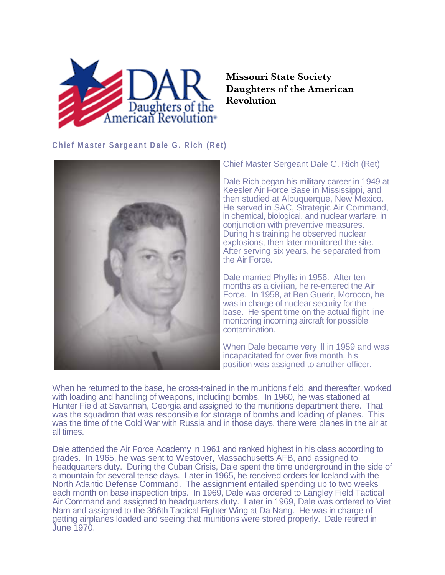

## **Missouri State Society Daughters of the American Revolution**

**Chief Master Sargeant Dale G. Rich (Ret)**



Chief Master Sergeant Dale G. Rich (Ret)

Dale Rich began his military career in 1949 at Keesler Air Force Base in Mississippi, and then studied at Albuquerque, New Mexico. He served in SAC, Strategic Air Command, in chemical, biological, and nuclear warfare, in conjunction with preventive measures. During his training he observed nuclear explosions, then later monitored the site. After serving six years, he separated from the Air Force.

Dale married Phyllis in 1956. After ten months as a civilian, he re-entered the Air Force. In 1958, at Ben Guerir, Morocco, he was in charge of nuclear security for the base. He spent time on the actual flight line monitoring incoming aircraft for possible contamination.

When Dale became very ill in 1959 and was incapacitated for over five month, his position was assigned to another officer.

When he returned to the base, he cross-trained in the munitions field, and thereafter, worked with loading and handling of weapons, including bombs. In 1960, he was stationed at Hunter Field at Savannah, Georgia and assigned to the munitions department there. That was the squadron that was responsible for storage of bombs and loading of planes. This was the time of the Cold War with Russia and in those days, there were planes in the air at all times.

Dale attended the Air Force Academy in 1961 and ranked highest in his class according to grades. In 1965, he was sent to Westover, Massachusetts AFB, and assigned to headquarters duty. During the Cuban Crisis, Dale spent the time underground in the side of a mountain for several tense days. Later in 1965, he received orders for Iceland with the North Atlantic Defense Command. The assignment entailed spending up to two weeks each month on base inspection trips. In 1969, Dale was ordered to Langley Field Tactical Air Command and assigned to headquarters duty. Later in 1969, Dale was ordered to Viet Nam and assigned to the 366th Tactical Fighter Wing at Da Nang. He was in charge of getting airplanes loaded and seeing that munitions were stored properly. Dale retired in June 1970.